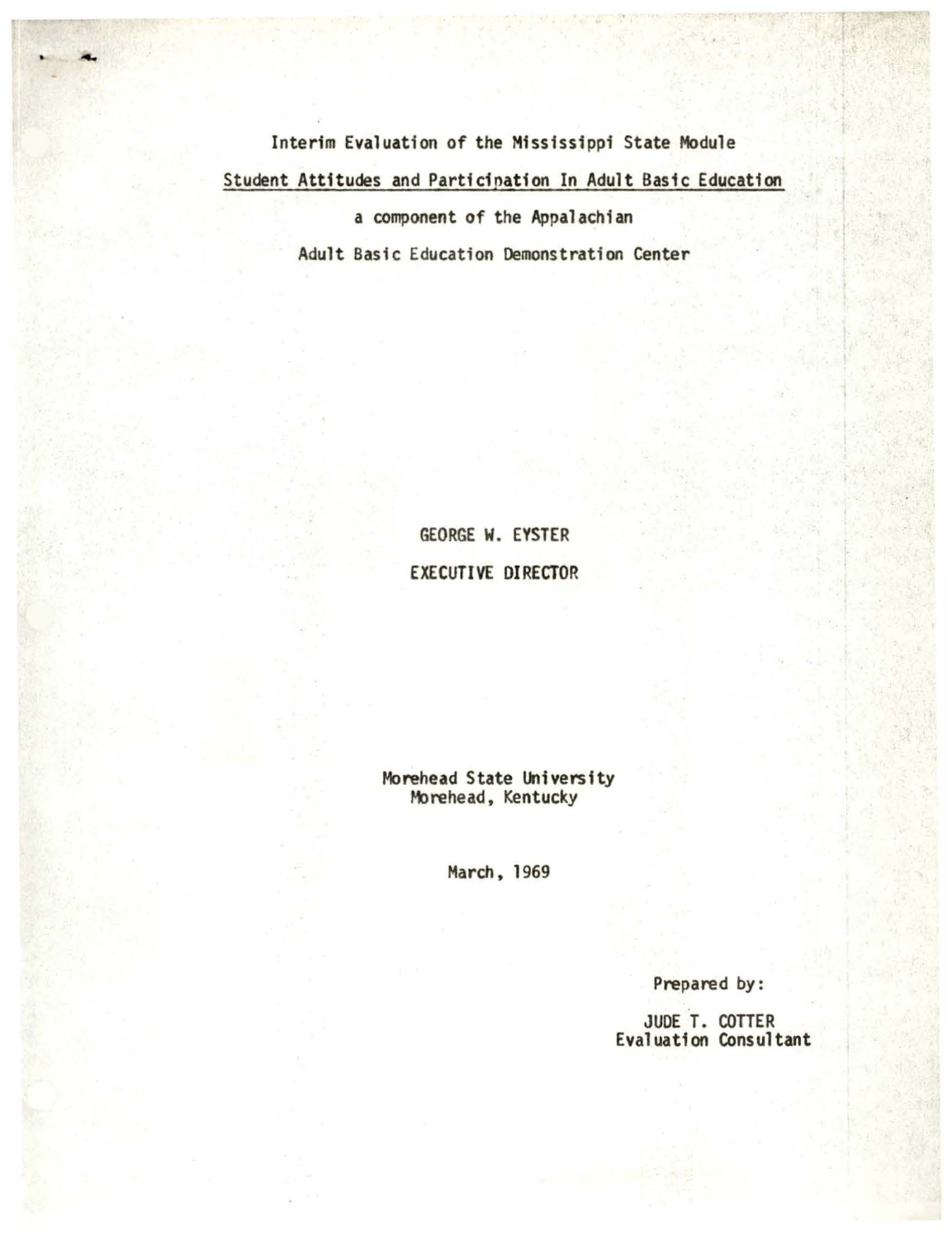Interim Evaluation of the Mississippi State Module Student Attitudes and Participation In Adult Basic Education

a component of the Appalachian

Adult Basic Education Demonstration Center

**GEORGE W. EYSTER EXECUTIVE DIRECTOR** 

Morehead State University Morehead, Kentucky

March, 1969

Prepared by:

JUDE T. COTTER<br>Evaluation Consultant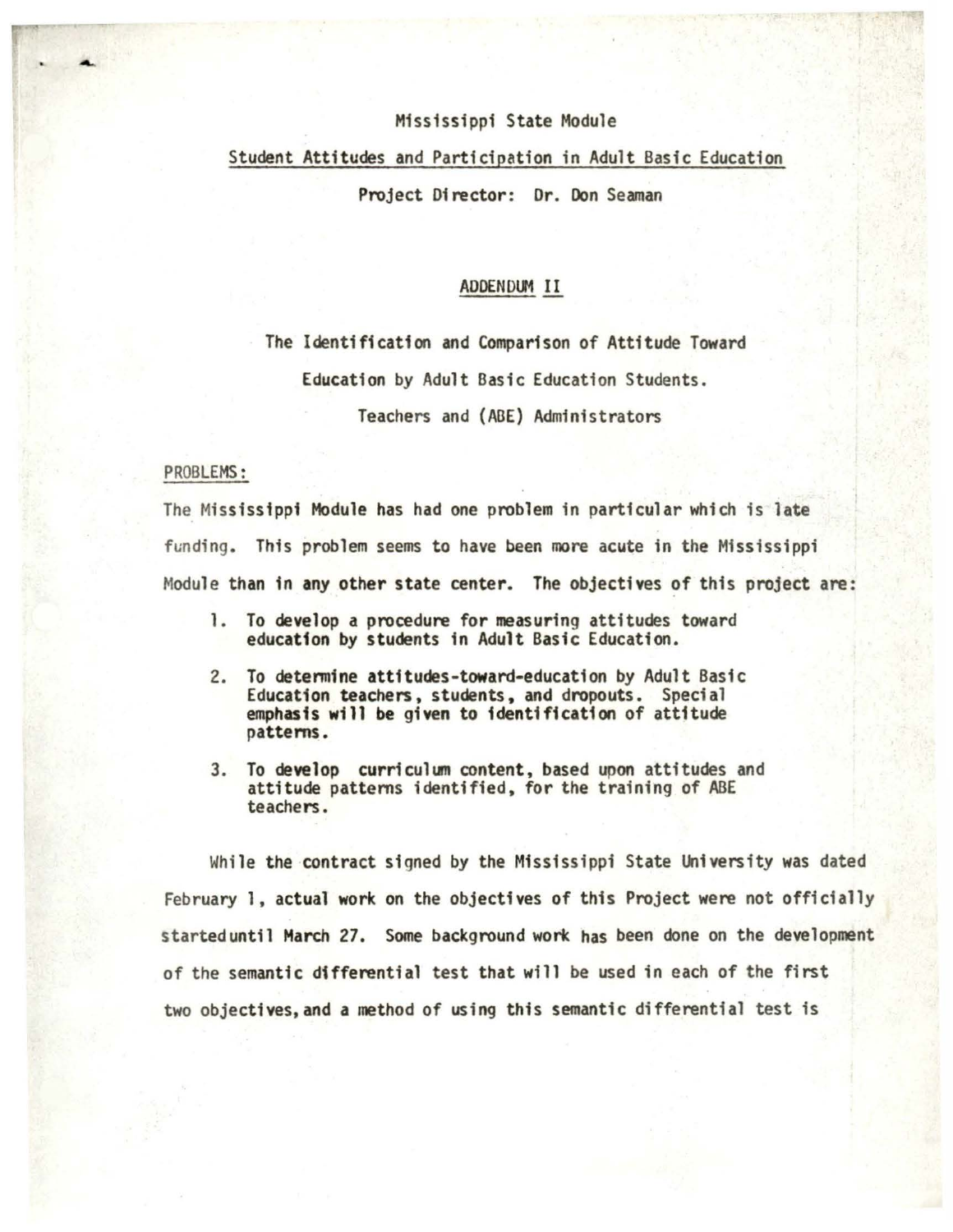## Mississippi State Module

# Student Attitudes and Participation in Adult Basic Education

Project 01 rector: Dr. Don Seaman

### ADDENDUM II

The Identification and Comparison of Attitude Toward

Education by Adult Basic Education Students.

Teachers and (ABE) Administrators

## PROBLEMS:

The Mississippi Module has had one problem in particular which is **late**  funding. This problem seems to have been more acute in the Mississippi Module than in any other state center. The objectives of this project are:

- 1. To develop a procedure for measuring attitudes toward education by students in Adult Basic Education.
- 2. To detennine attitudes-toward-education by Adult Basic Education teachers, students, and dropouts. Special emphasis will be given to identification of attitude patterns.
- 3. To develop curriculum content, based upon attitudes and attitude pattems identified, for the training of ABE teachers.

While the contract signed by the Mississippi State University was dated February 1, actual work on the objectives of this Project were not officially starteduntil March 27. Some background work has been done on the development of the semantic differential test that will be used in each of the first two objectives, and a method of using this semantic differential test is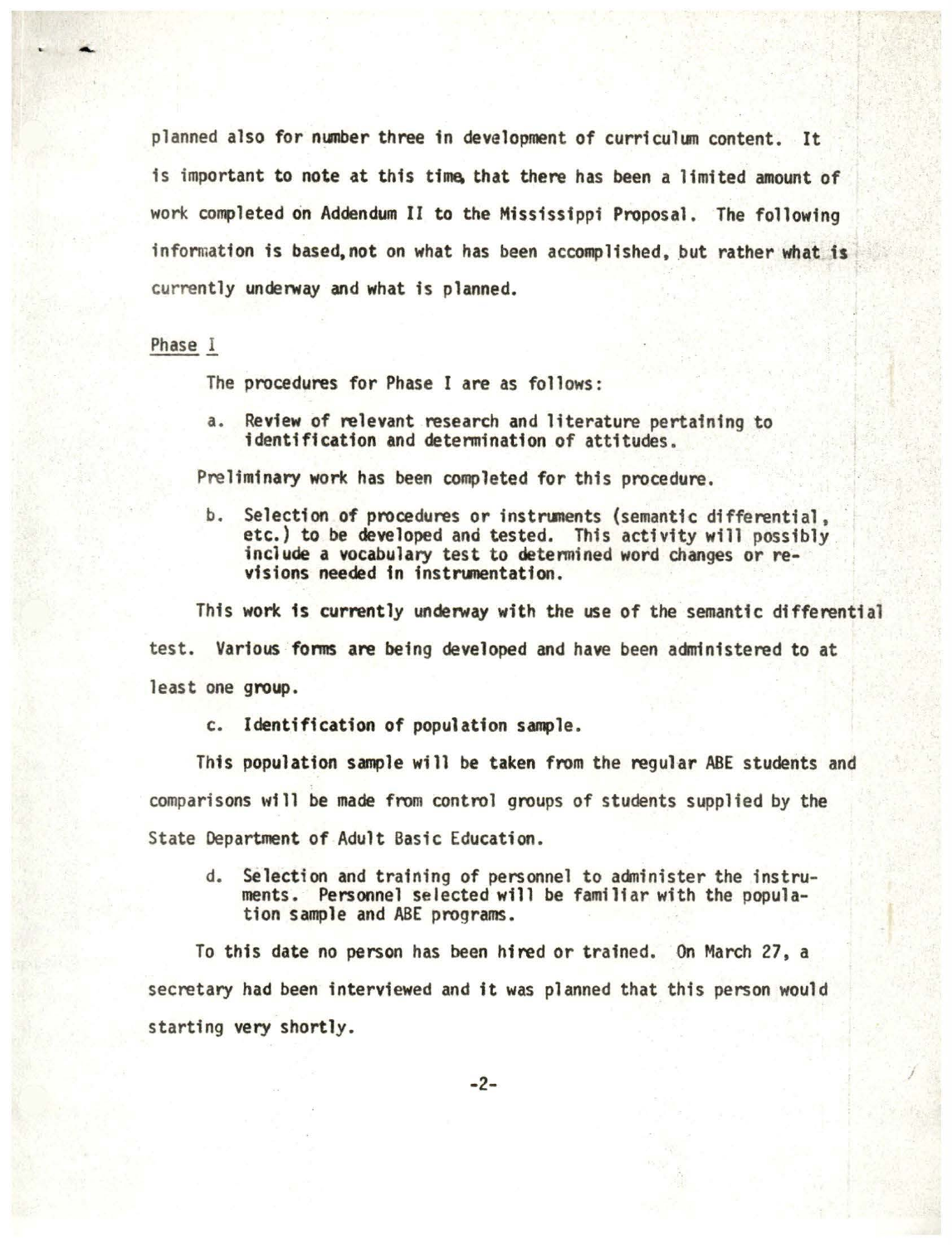planned also for number three in development of curriculum content. It is important to note at this time that there has been a limited amount of work completed on Addendum II to the Mississippi Proposal. The following information is based, not on what has been accomplished, but rather what is currently underway and what is planned.

#### Phase l

The procedures for Phase I are as follows:

a. Review of relevant research and literature pertaining to identification and detennination of attitudes.

Preliminary work has been completed for this procedure.

b. Selection of procedures or instruments (semantic differential, etc.) to be developed and tested. This activity will possibly include a vocabulary test to determined word changes or revisions needed in instrumentation.

This work is currently underway with the use of the semantic differential test. Various forms are being developed and have been administered to at least one group.

c. Identification of population sample.

This population sample will be taken from the regular ABE students and comparisons will be made from control groups of students supplied by the State Department of Adult Basic Education.

d. Selection and training of personnel to aaninister the instruments. Personnel selected will be familiar with the popula- tion sample and ABE programs.

To this date no person has been hired or trained. On March 27, a secretary had been interviewed and it was planned that this person would starting very shortly.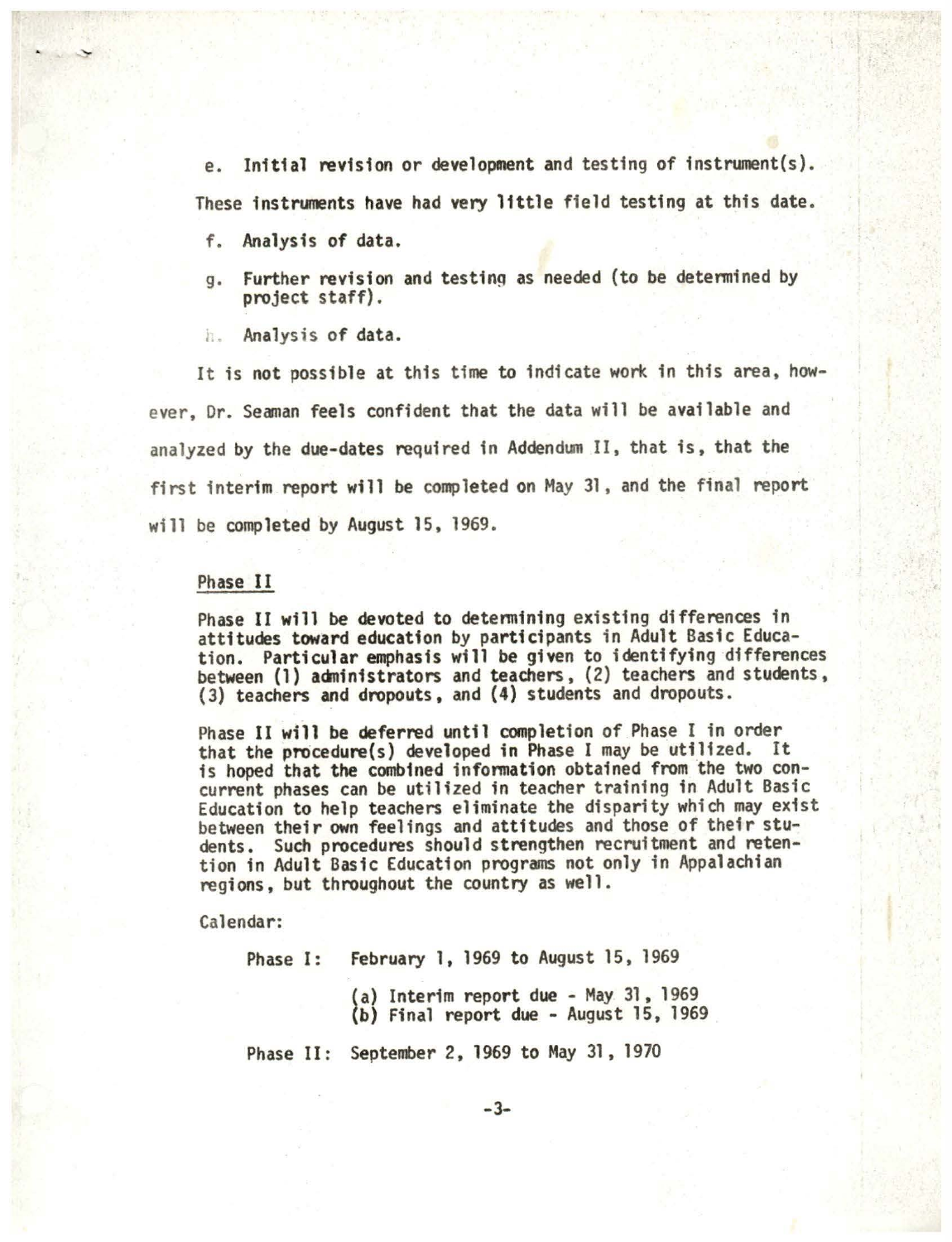e. Initial revision or development and testing of instrument(s). These instruments have had very little field testing at this date.

- f. Analysis of data.
- g. Further revision and testing as needed (to be determined by project staff).
- $h$ . . . Analysis of **data •**

It is not possible at this time to indicate work in this area, however, Dr. Seaman feels confident that the data will be available and analyzed by the due-dates required in Addendum II, that is, that the first interim report will be completed on May 31 , and the final report will be completed by August 15, 1969.

# Phase II

Phase II will be devoted to detennining existing differences in attitudes toward education by participants in Adult Basic Education. Particular emphasis will be given to identifying differences between (1) administrators and teachers, (2) teachers and students, (3) teachers and dropouts, and (4) students and dropouts.

Phase II will be deferred until completion of Phase I in order that the procedure(s) developed in Phase I may be utilized. It is hoped that the combined infonnation obtained from the two concurrent phases can be utilized in teacher training in Adult Basic Education to help teachers eliminate the disparity which may exist between their own feelings and attitudes and those of their students. Such procedures should strengthen recruitment and retention in Adult Basic Education programs not only in Appalachian regions, but throughout the country as well.

Calendar:

Phase I: February 1, 1969 to August 15, 1969 (a) Interim report due - May 31, 1969 (b) Final report due - August 15, 1969

Phase 11: September 2, 1969 to May 31, 1970